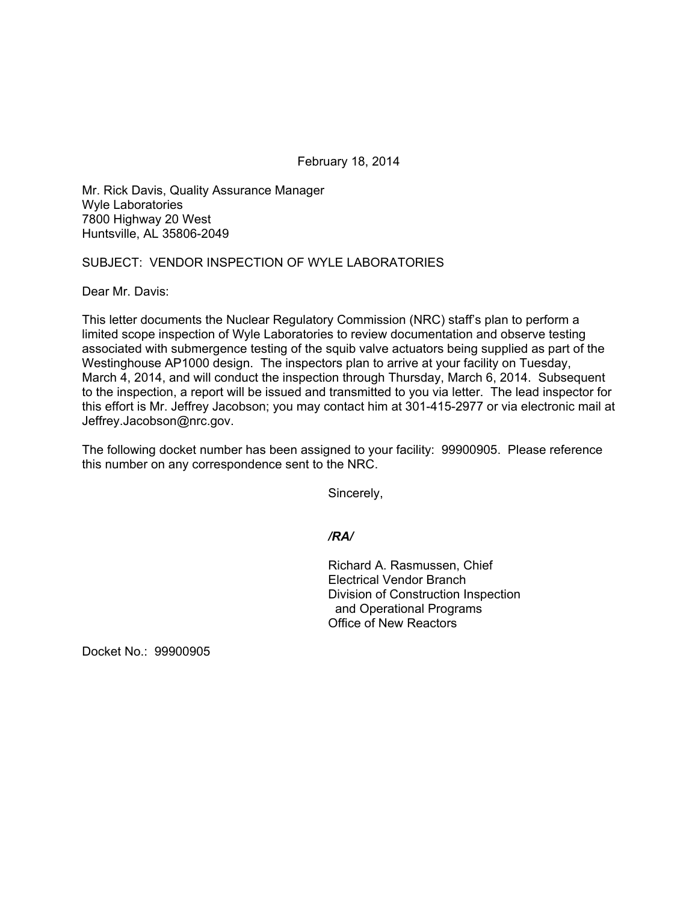February 18, 2014

Mr. Rick Davis, Quality Assurance Manager Wyle Laboratories 7800 Highway 20 West Huntsville, AL 35806-2049

## SUBJECT: VENDOR INSPECTION OF WYLE LABORATORIES

Dear Mr. Davis:

This letter documents the Nuclear Regulatory Commission (NRC) staff's plan to perform a limited scope inspection of Wyle Laboratories to review documentation and observe testing associated with submergence testing of the squib valve actuators being supplied as part of the Westinghouse AP1000 design. The inspectors plan to arrive at your facility on Tuesday, March 4, 2014, and will conduct the inspection through Thursday, March 6, 2014. Subsequent to the inspection, a report will be issued and transmitted to you via letter. The lead inspector for this effort is Mr. Jeffrey Jacobson; you may contact him at 301-415-2977 or via electronic mail at Jeffrey.Jacobson@nrc.gov.

The following docket number has been assigned to your facility: 99900905. Please reference this number on any correspondence sent to the NRC.

Sincerely,

*/RA/* 

Richard A. Rasmussen, Chief Electrical Vendor Branch Division of Construction Inspection and Operational Programs Office of New Reactors

Docket No.: 99900905